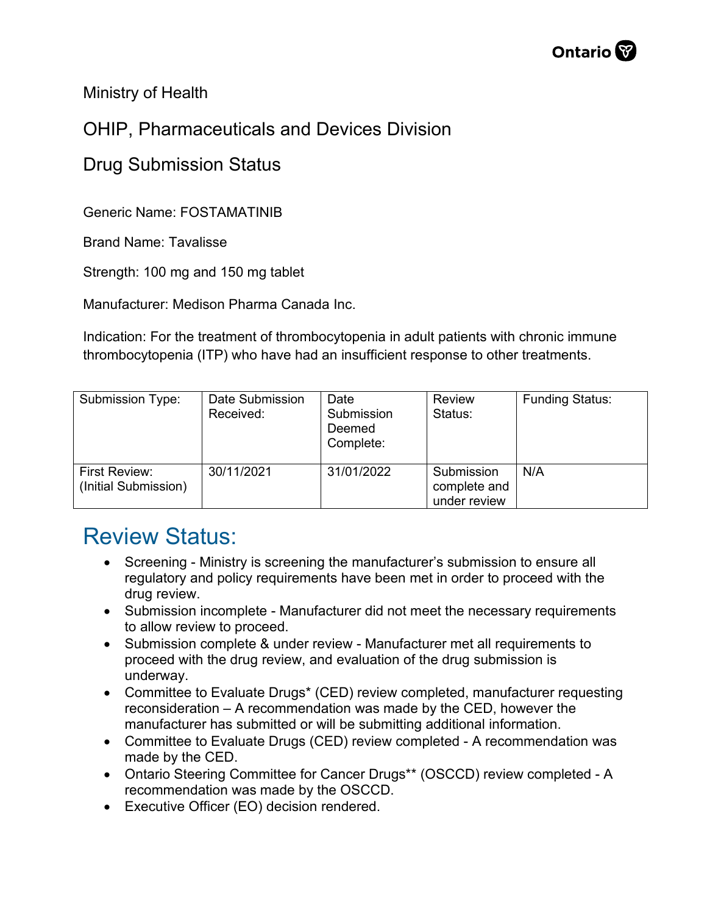Ministry of Health

## OHIP, Pharmaceuticals and Devices Division

## Drug Submission Status

Generic Name: FOSTAMATINIB

Brand Name: Tavalisse

Strength: 100 mg and 150 mg tablet

Manufacturer: Medison Pharma Canada Inc.

Indication: For the treatment of thrombocytopenia in adult patients with chronic immune thrombocytopenia (ITP) who have had an insufficient response to other treatments.

| Submission Type:                      | Date Submission<br>Received: | Date<br>Submission<br>Deemed<br>Complete: | Review<br>Status:                          | <b>Funding Status:</b> |
|---------------------------------------|------------------------------|-------------------------------------------|--------------------------------------------|------------------------|
| First Review:<br>(Initial Submission) | 30/11/2021                   | 31/01/2022                                | Submission<br>complete and<br>under review | N/A                    |

## Review Status:

- Screening Ministry is screening the manufacturer's submission to ensure all regulatory and policy requirements have been met in order to proceed with the drug review.
- Submission incomplete Manufacturer did not meet the necessary requirements to allow review to proceed.
- Submission complete & under review Manufacturer met all requirements to proceed with the drug review, and evaluation of the drug submission is underway.
- Committee to Evaluate Drugs\* (CED) review completed, manufacturer requesting reconsideration – A recommendation was made by the CED, however the manufacturer has submitted or will be submitting additional information.
- Committee to Evaluate Drugs (CED) review completed A recommendation was made by the CED.
- Ontario Steering Committee for Cancer Drugs\*\* (OSCCD) review completed A recommendation was made by the OSCCD.
- Executive Officer (EO) decision rendered.